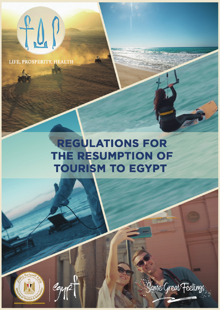

LIFE, PROSPERITY, HEALTH

# **REGULATIONS FOR** THE RESUMPTION OF **TOURISM TO EGYPT**





Jame Great Feelings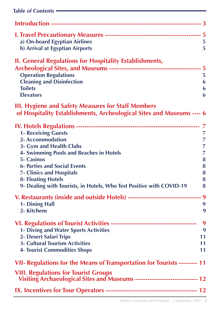| Table of Contents –                                                                                                                |                |
|------------------------------------------------------------------------------------------------------------------------------------|----------------|
|                                                                                                                                    |                |
|                                                                                                                                    |                |
| a) On-board Egyptian Airlines                                                                                                      | $\overline{5}$ |
| b) Arrival at Egyptian Airports                                                                                                    | 5              |
| <b>II. General Regulations for Hospitality Establishments,</b>                                                                     |                |
|                                                                                                                                    |                |
| <b>Operation Regulations</b>                                                                                                       | 5              |
| <b>Cleaning and Disinfection</b>                                                                                                   | 6              |
| <b>Toilets</b>                                                                                                                     | 6              |
| <b>Elevators</b>                                                                                                                   | 6              |
| <b>III. Hygiene and Safety Measures for Staff Members</b><br>of Hospitality Establishments, Archeological Sites and Museums ---- 6 |                |
|                                                                                                                                    |                |
| <b>1- Receiving Guests</b>                                                                                                         | 7              |
| <b>2- Accommodation</b>                                                                                                            | 7              |
| 3- Gym and Health Clubs                                                                                                            | 7              |
| <b>4- Swimming Pools and Beaches in Hotels</b>                                                                                     | 7              |
| <b>5- Casinos</b>                                                                                                                  | 8              |
| <b>6- Parties and Social Events</b>                                                                                                | 8              |
| <b>7- Clinics and Hospitals</b><br><b>8- Floating Hotels</b>                                                                       | 8<br>8         |
| 9- Dealing with Tourists, in Hotels, Who Test Positive with COVID-19                                                               | 8              |
|                                                                                                                                    |                |
| V. Restaurants (inside and outside Hotels) ---------------------------------- 9                                                    |                |
| 1- Dining Hall<br>2- Kitchens                                                                                                      | 9<br>9         |
|                                                                                                                                    |                |
|                                                                                                                                    | 9              |
| <b>1- Diving and Water Sports Activities</b>                                                                                       | 9              |
| 2- Desert Safari Trips                                                                                                             | 11             |
| <b>3- Cultural Tourism Activities</b>                                                                                              | 11             |
| <b>4- Tourist Commodities Shops</b>                                                                                                | 11             |
| VII- Regulations for the Means of Transportation for Tourists --------- 11                                                         |                |
| <b>VIII. Regulations for Tourist Groups</b><br>Visiting Archaeological Sites and Museums ----------------------------- 12          |                |
|                                                                                                                                    |                |
|                                                                                                                                    |                |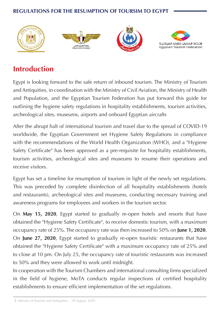

# **Introduction**

Egypt is looking forward to the safe return of inbound tourism. The Ministry of Tourism and Antiquities, in coordination with the Ministry of Civil Aviation, the Ministry of Health and Population, and the Egyptian Tourism Federation has put forward this guide for outlining the hygiene safety regulations in hospitality establishments, tourism activities, archeological sites, museums, airports and onboard Egyptian aircrafts

After the abrupt halt of international tourism and travel due to the spread of COVID-19 worldwide, the Egyptian Government set Hygiene Safety Regulations in compliance with the recommendations of the World Health Organization (WHO), and a "Hygiene Safety Certificate" has been approved as a pre-requisite for hospitality establishments, tourism activities, archeological sites and museums to resume their operations and receive visitors

Egypt has set a timeline for resumption of tourism in light of the newly set regulations. This was preceded by complete disinfection of all hospitality establishments (hotels and restaurants), archeological sites and museums, conducting necessary training and awareness programs for employees and workers in the tourism sector.

On May 15, 2020, Egypt started to gradually re-open hotels and resorts that have obtained the "Hygiene Safety Certificate", to receive domestic tourism, with a maximum **2020.** 2020 **2020**. **2020**. The occupancy rate was then increased to 50% on **June 1, 2020**. On June 27, 2020, Egypt started to gradually re-open touristic restaurants that have obtained the "Hygiene Safety Certificate" with a maximum occupancy rate of 25% and to close at 10 pm. On July 25, the occupancy rate of touristic restaurants was increased to 50% and they were allowed to work until midnight.

In cooperation with the Tourism Chambers and international consulting firms specialized in the field of hygiene, MoTA conducts regular inspections of certified hospitality establishments to ensure efficient implementation of the set regulations.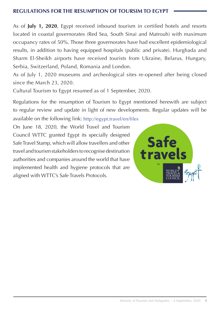As of **July 1, 2020**, Egypt received inbound tourism in certified hotels and resorts located in coastal governorates (Red Sea, South Sinai and Matrouh) with maximum occupancy rates of 50%. Those three governorates have had excellent epidemiological results, in addition to having equipped hospitals (public and private). Hurghada and Sharm El-Sheikh airports have received tourists from Ukraine, Belarus, Hungary, Serbia, Switzerland, Poland, Romania and London.

As of July 1, 2020 museums and archeological sites re-opened after being closed since the March  $23$ ,  $2020$ .

Cultural Tourism to Egypt resumed as of 1 September, 2020.

Regulations for the resumption of Tourism to Egypt mentioned herewith are subject to regular review and update in light of new developments. Regular updates will be

available on the following link: http://egypt.travel/en/files

On June 18, 2020, the World Travel and Tourism Council WTTC granted Egypt its specially designed Safe Travel Stamp, which will allow travellers and other travel and tourism stakeholders to recognise destination authorities and companies around the world that have implemented health and hygiene protocols that are aligned with WTTC's Safe Travels Protocols.

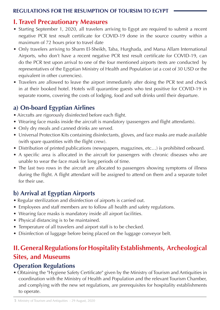#### **I. Travel Precautionary Measures**

- Starting September 1, 2020, all travelers arriving to Egypt are required to submit a recent negative PCR test result certificate for COVID-19 done in the source country within a maximum of 72 hours prior to travel date
- Only travelers arriving to Sharm El-Sheikh, Taba, Hurghada, and Marsa Allam International Airports, who don't have a recent negative PCR test result certificate for COVID-19, can do the PCR test upon arrival to one of the four mentioned airports (tests are conducted by representatives of the Egyptian Ministry of Health and Population (at a cost of 30 USD or the equivalent in other currencies).
- Travelers are allowed to leave the airport immediately after doing the PCR test and check in at their booked hotel. Hotels will quarantine guests who test positive for COVID-19 in separate rooms, covering the costs of lodging, food and soft drinks until their departure.

# **a) On-board Egyptian Airlines**

- Aircrafts are rigorously disinfected before each flight.
- Wearing face masks inside the aircraft is mandatory (passengers and flight attendants).
- Only dry meals and canned drinks are served.
- Universal Protection Kits containing disinfectants, gloves, and face masks are made available (with spare quantities with the flight crew).
- Distribution of printed publications (newspapers, magazines, etc...) is prohibited onboard.
- A specific area is allocated in the aircraft for passengers with chronic diseases who are unable to wear the face mask for long periods of time.
- The last two rows in the aircraft are allocated to passengers showing symptoms of illness during the flight. A flight attendant will be assigned to attend on them and a separate toilet for their use.

# **b**) Arrival at Egyptian Airports

- Regular sterilization and disinfection of airports is carried out.
- Employees and staff members are to follow all health and safety regulations.
- Wearing face masks is mandatory inside all airport facilities.
- Physical distancing is to be maintained.
- Temperature of all travelers and airport staff is to be checked.
- Disinfection of luggage before being placed on the luggage conveyor belt.

# **II. General Regulations for Hospitality Establishments, Archeological Sites, and Museums**

#### **Operation Regulations**

• Obtaining the "Hygiene Safety Certificate" given by the Ministry of Tourism and Antiquities in coordination with the Ministry of Health and Population and the relevant Tourism Chamber, and complying with the new set regulations, are prerequisites for hospitality establishments to operate.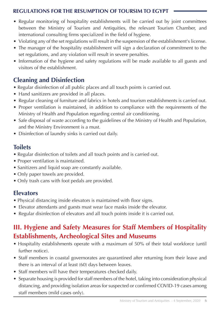- Regular monitoring of hospitality establishments will be carried out by joint committees between the Ministry of Tourism and Antiquities, the relevant Tourism Chamber, and international consulting firms specialized in the field of hygiene.
- Violating any of the set regulations will result in the suspension of the establishment's license.
- The manager of the hospitality establishment will sign a declaration of commitment to the set regulations, and any violation will result in severe penalties.
- Information of the hygiene and safety regulations will be made available to all guests and visitors of the establishment

#### **Cleaning and Disinfection**

- Regular disinfection of all public places and all touch points is carried out.
- Hand sanitizers are provided in all places.
- Regular cleaning of furniture and fabrics in hotels and tourism establishments is carried out.
- Proper ventilation is maintained, in addition to compliance with the requirements of the Ministry of Health and Population regarding central air conditioning.
- Safe disposal of waste according to the guidelines of the Ministry of Health and Population, and the Ministry Environment is a must.
- Disinfection of laundry sinks is carried out daily.

#### **Toilets**

- Regular disinfection of toilets and all touch points and is carried out.
- Proper ventilation is maintained.
- Sanitizers and liquid soap are constantly available.
- Only paper towels are provided.
- Only trash cans with foot pedals are provided.

#### **Elevators**

- Physical distancing inside elevators is maintained with floor signs.
- Elevator attendants and guests must wear face masks inside the elevator.
- Regular disinfection of elevators and all touch points inside it is carried out.

# **III. Hygiene and Safety Measures for Staff Members of Hospitality Establishments, Archeological Sites and Museums**

- Hospitality establishments operate with a maximum of 50% of their total workforce (until further notice).
- Staff members in coastal governorates are quarantined after returning from their leave and there is an interval of at least (60) days between leaves.
- Staff members will have their temperatures checked daily.
- Separate housing is provided for staff members of the hotel, taking into consideration physical distancing, and providing isolation areas for suspected or confirmed COVID-19 cases among staff members (mild cases only).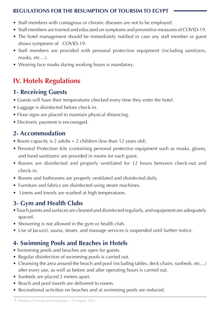- Staff members with contagious or chronic diseases are not to be employed.
- Staff members are trained and educated on symptoms and preventive measures of COVID-19.
- The hotel management should be immediately notified in case any staff member or guest shows symptoms of COVID-19.
- Staff members are provided with personal protection equipment (including sanitizers,  $masks, etc...$ ).
- Wearing face masks during working hours is mandatory.

# **IV. Hotels Regulations**

#### **1- Receiving Guests**

- Guests will have their temperatures checked every time they enter the hotel.
- Luggage is disinfected before check-in.
- Floor signs are placed to maintain physical distancing.
- Electronic payment is encouraged.

## **Accommodation 2-**

- Room capacity is 2 adults  $+ 2$  children (less than 12 years old).
- Personal Protection Kits (containing personal protective equipment such as masks, gloves, and hand sanitizers) are provided in rooms for each guest.
- Rooms are disinfected and properly ventilated for 12 hours between check-out and check-in.
- Rooms and bathrooms are properly ventilated and disinfected daily.
- Furniture and fabrics are disinfected using steam machines.
- Linens and towels are washed at high temperatures.

# **3- Gym and Health Clubs**

- Touch points and surfaces are cleaned and disinfected regularly, and equipment are adequately spaced.
- Showering is not allowed in the gym or health club.
- Use of Jacuzzi, sauna, steam, and massage services is suspended until further notice.

## **4- Swimming Pools and Beaches in Hotels**

- Swimming pools and beaches are open for guests.
- Regular disinfection of swimming pools is carried out.
- Cleansing the area around the beach and pool (including tables, deck chairs, sunbeds, etc...) after every use, as well as before and after operating hours is carried out.
- Sunbeds are placed 2 meters apart.
- Beach and pool towels are delivered to rooms.
- Recreational activities on beaches and at swimming pools are reduced.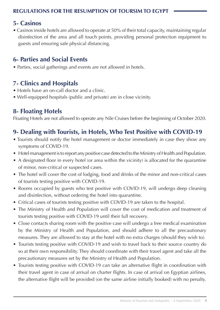#### **Casinos 5-**

• Casinos inside hotels are allowed to operate at 50% of their total capacity, maintaining regular disinfection of the area and all touch points, providing personal protection equipment to guests and ensuring safe physical distancing.

#### **6- Parties and Social Events**

• Parties, social gatherings and events are not allowed in hotels.

## **7- Clinics and Hospitals**

- Hotels have an on-call doctor and a clinic.
- Well-equipped hospitals (public and private) are in close vicinity.

## **8- Floating Hotels**

Floating Hotels are not allowed to operate any Nile Cruises before the beginning of October 2020.

# **9- Dealing with Tourists, in Hotels, Who Test Positive with COVID-19**

- Tourists should notify the hotel management or doctor immediately in case they show any symptoms of COVID-19.
- Hotel management is to report any positive case detected to the Ministry of Health and Population.
- A designated floor in every hotel (or area within the vicinity) is allocated for the quarantine of minor, non-critical or suspected cases.
- The hotel will cover the cost of lodging, food and drinks of the minor and non-critical cases of tourists testing positive with COVID-19.
- Rooms occupied by guests who test positive with COVID-19, will undergo deep cleaning and disinfection, without ordering the hotel into quarantine.
- Critical cases of tourists testing positive with COVID-19 are taken to the hospital.
- The Ministry of Health and Population will cover the cost of medication and treatment of tourists testing positive with COVID-19 until their full recovery.
- Close contacts sharing room with the positive case will undergo a free medical examination by the Ministry of Health and Population, and should adhere to all the precautionary measures. They are allowed to stay at the hotel with no extra charges (should they wish to).
- Tourists testing positive with COVID-19 and wish to travel back to their source country do so at their own responsibility. They should coordinate with their travel agent and take all the precautionary measures set by the Ministry of Health and Population.
- Tourists testing positive with COVID-19 can take an alternative flight in coordination with their travel agent in case of arrival on charter flights. In case of arrival on Egyptian airlines, the alternative flight will be provided (on the same airline initially booked) with no penalty.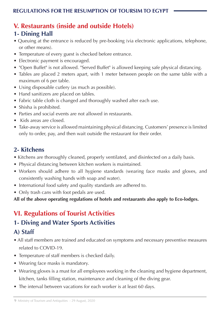# **V. Restaurants (inside and outside Hotels)**

#### **1- Dining Hall**

- Queuing at the entrance is reduced by pre-booking (via electronic applications, telephone, or other means).
- Temperature of every guest is checked before entrance.
- Electronic payment is encouraged.
- "Open Buffet" is not allowed. "Served Buffet" is allowed keeping safe physical distancing.
- Tables are placed 2 meters apart, with 1 meter between people on the same table with a maximum of 6 per table.
- Using disposable cutlery (as much as possible).
- Hand sanitizers are placed on tables.
- Fabric table cloth is changed and thoroughly washed after each use.
- Shisha is prohibited.
- Parties and social events are not allowed in restaurants.
- Kids areas are closed.
- Take-away service is allowed maintaining physical distancing. Customers' presence is limited only to order, pay, and then wait outside the restaurant for their order.

#### **Kitchens 2-**

- Kitchens are thoroughly cleaned, properly ventilated, and disinfected on a daily basis.
- Physical distancing between kitchen workers is maintained.
- Workers should adhere to all hygiene standards (wearing face masks and gloves, and consistently washing hands with soap and water).
- International food safety and quality standards are adhered to.
- Only trash cans with foot pedals are used.

All of the above operating regulations of hotels and restaurants also apply to Eco-lodges.

# **VI. Regulations of Tourist Activities**

#### **1- Diving and Water Sports Activities**

#### **Staff) A**

- All staff members are trained and educated on symptoms and necessary preventive measures related to COVID-19.
- Temperature of staff members is checked daily.
- Wearing face masks is mandatory.
- Wearing gloves is a must for all employees working in the cleaning and hygiene department, kitchen, tanks filling station, maintenance and cleaning of the diving gear.
- The interval between vacations for each worker is at least 60 days.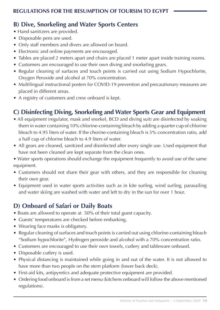## **B) Dive, Snorkeling and Water Sports Centers**

- Hand sanitizers are provided.
- Disposable pens are used.
- Only staff members and divers are allowed on board.
- Electronic and online payments are encouraged.
- Tables are placed 2 meters apart and chairs are placed 1 meter apart inside training rooms.
- Customers are encouraged to use their own diving and snorkeling gears.
- Regular cleaning of surfaces and touch points is carried out using Sodium Hypochlorite, Oxygen Peroxide and alcohol at 70% concentration.
- Multilingual instructional posters for COVID-19 prevention and precautionary measures are placed in different areas.
- A registry of customers and crew onboard is kept.

## **C**) Disinfecting Diving, Snorkeling and Water Sports Gear and Equipment

- All equipment (regulator, mask and snorkel, BCD and diving suit) are disinfected by soaking them in water containing 10% chlorine-containing bleach by adding a quarter cup of chlorine bleach to 4.95 liters of water. If the chorine-containing bleach is 5% concentration ratio, add a half cup of chlorine bleach to 4.9 liters of water.
- All gears are cleaned, sanitized and disinfected after every single use. Used equipment that have not been cleaned are kept separate from the clean ones.
- Water sports operations should exchange the equipment frequently to avoid use of the same .equipment
- Customers should not share their gear with others, and they are responsible for cleaning their own gear.
- Equipment used in water sports activities such as in kite surfing, wind surfing, parasailing and water skiing are washed with water and left to dry in the sun for over 1 hour.

#### **D) Onboard of Safari or Daily Boats**

- Boats are allowed to operate at 50% of their total guest capacity.
- Guests' temperatures are checked before embarking.
- Wearing face masks is obligatory.
- Regular cleaning of surfaces and touch points is carried out using chlorine-containing bleach "Sodium hypochlorite", Hydrogen peroxide and alcohol with a 70% concentration ratio.
- Customers are encouraged to use their own towels, cutlery and tableware onboard.
- Disposable cutlery is used.
- Physical distancing is maintained while going in and out of the water. It is not allowed to have more than two people on the stern platform (lower back deck).
- First-aid kits, antipyretics and adequate protective equipment are provided.
- Ordering food onboard is from a set menu (kitchens onboard will follow the above mentioned regulations).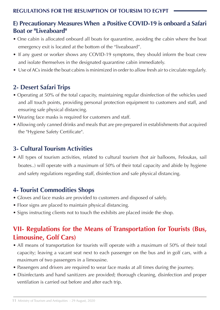#### **E) Precautionary Measures When a Positive COVID-19 is onboard a Safari Boat or "Liveaboard"**

- One cabin is allocated onboard all boats for quarantine, avoiding the cabin where the boat emergency exit is located at the bottom of the "liveaboard".
- If any guest or worker shows any COVID-19 symptoms, they should inform the boat crew and isolate themselves in the designated quarantine cabin immediately.
- Use of ACs inside the boat cabins is minimized in order to allow fresh air to circulate regularly.

#### **2- Desert Safari Trips**

- Operating at 50% of the total capacity, maintaining regular disinfection of the vehicles used and all touch points, providing personal protection equipment to customers and staff, and ensuring safe physical distancing.
- Wearing face masks is required for customers and staff.
- Allowing only canned drinks and meals that are pre-prepared in establishments that acquired the "Hygiene Safety Certificate".

#### **Activities 3- Cultural Tourism Activities**

• All types of tourism activities, related to cultural tourism (hot air balloons, Feloukas, sail boates..) will operate with a maximum of 50% of their total capacity and abide by hygiene and safety regulations regarding staff, disinfection and safe physical distancing.

#### **4- Tourist Commodities Shops**

- Gloves and face masks are provided to customers and disposed of safely.
- Floor signs are placed to maintain physical distancing.
- Signs instructing clients not to touch the exhibits are placed inside the shop.

# **VII- Regulations for the Means of Transportation for Tourists (Bus, Limousine, Golf Cars)**

- All means of transportation for tourists will operate with a maximum of 50% of their total capacity; leaving a vacant seat next to each passenger on the bus and in golf cars, with a maximum of two passengers in a limousine.
- Passengers and drivers are required to wear face masks at all times during the journey.
- Disinfectants and hand sanitizers are provided; thorough cleaning, disinfection and proper ventilation is carried out before and after each trip.